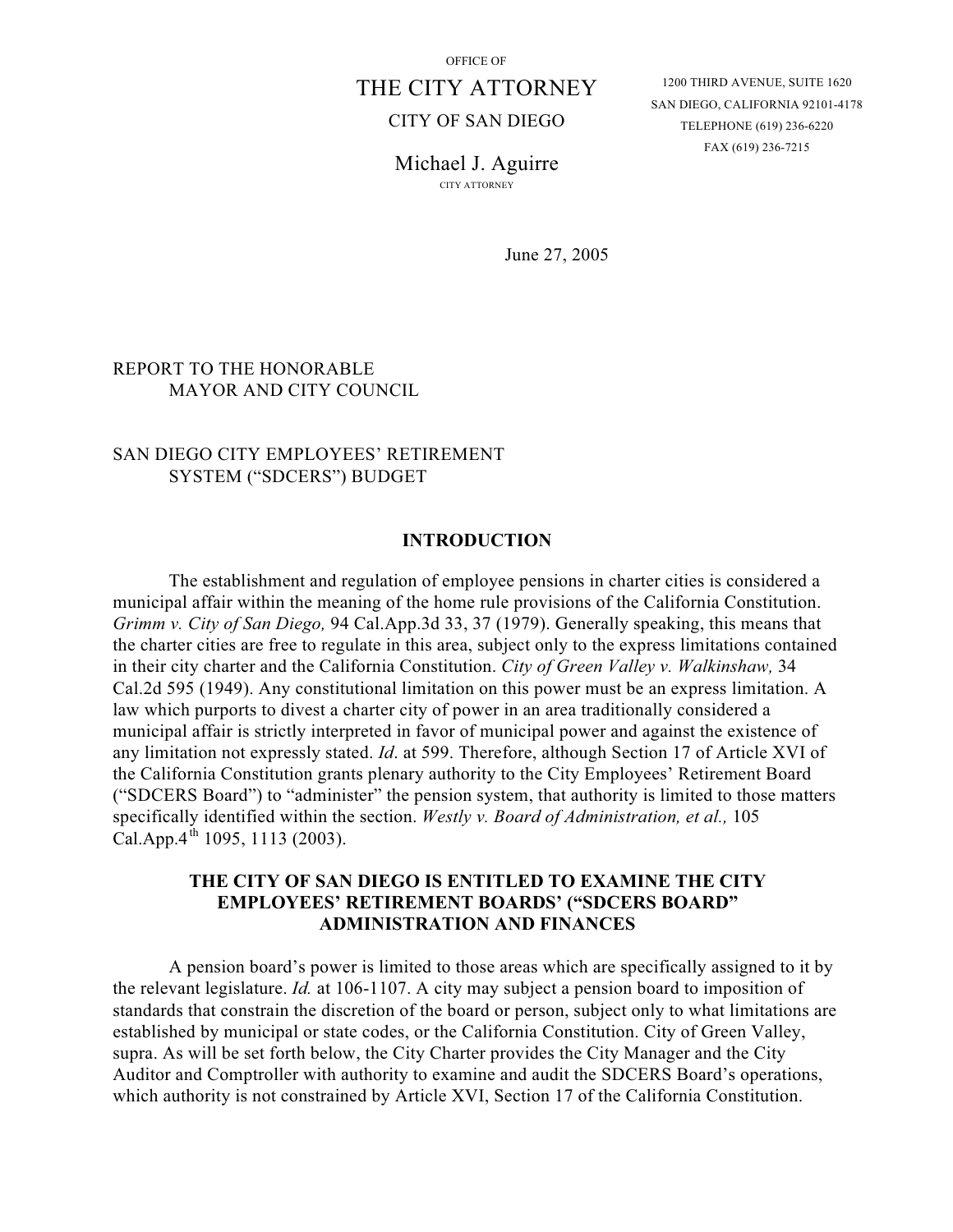# THE CITY ATTORNEY

### CITY OF SAN DIEGO

1200 THIRD AVENUE, SUITE 1620 SAN DIEGO, CALIFORNIA 92101-4178 TELEPHONE (619) 236-6220 FAX (619) 236-7215

Michael J. Aguirre CITY ATTORNEY

June 27, 2005

# REPORT TO THE HONORABLE MAYOR AND CITY COUNCIL

## SAN DIEGO CITY EMPLOYEES' RETIREMENT SYSTEM ("SDCERS") BUDGET

#### **INTRODUCTION**

The establishment and regulation of employee pensions in charter cities is considered a municipal affair within the meaning of the home rule provisions of the California Constitution. *Grimm v. City of San Diego,* 94 Cal.App.3d 33, 37 (1979). Generally speaking, this means that the charter cities are free to regulate in this area, subject only to the express limitations contained in their city charter and the California Constitution. *City of Green Valley v. Walkinshaw,* 34 Cal.2d 595 (1949). Any constitutional limitation on this power must be an express limitation. A law which purports to divest a charter city of power in an area traditionally considered a municipal affair is strictly interpreted in favor of municipal power and against the existence of any limitation not expressly stated. *Id*. at 599. Therefore, although Section 17 of Article XVI of the California Constitution grants plenary authority to the City Employees' Retirement Board ("SDCERS Board") to "administer" the pension system, that authority is limited to those matters specifically identified within the section. *Westly v. Board of Administration, et al.,* 105 Cal.App. $4^{th}$  1095, 1113 (2003).

## **THE CITY OF SAN DIEGO IS ENTITLED TO EXAMINE THE CITY EMPLOYEES' RETIREMENT BOARDS' ("SDCERS BOARD" ADMINISTRATION AND FINANCES**

A pension board's power is limited to those areas which are specifically assigned to it by the relevant legislature. *Id.* at 106-1107. A city may subject a pension board to imposition of standards that constrain the discretion of the board or person, subject only to what limitations are established by municipal or state codes, or the California Constitution. City of Green Valley, supra. As will be set forth below, the City Charter provides the City Manager and the City Auditor and Comptroller with authority to examine and audit the SDCERS Board's operations, which authority is not constrained by Article XVI, Section 17 of the California Constitution.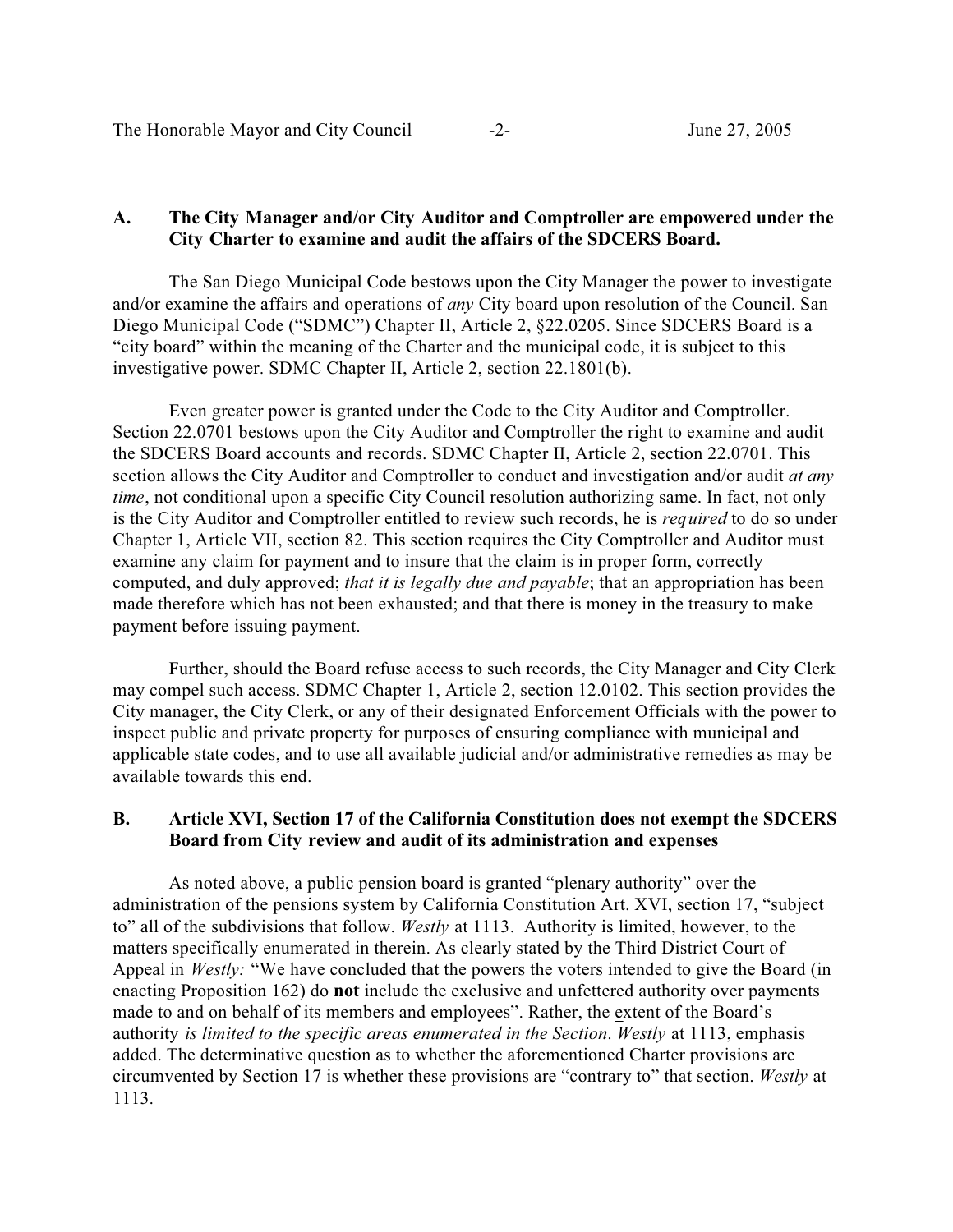### **A. The City Manager and/or City Auditor and Comptroller are empowered under the City Charter to examine and audit the affairs of the SDCERS Board.**

The San Diego Municipal Code bestows upon the City Manager the power to investigate and/or examine the affairs and operations of *any* City board upon resolution of the Council. San Diego Municipal Code ("SDMC") Chapter II, Article 2, §22.0205. Since SDCERS Board is a "city board" within the meaning of the Charter and the municipal code, it is subject to this investigative power. SDMC Chapter II, Article 2, section 22.1801(b).

Even greater power is granted under the Code to the City Auditor and Comptroller. Section 22.0701 bestows upon the City Auditor and Comptroller the right to examine and audit the SDCERS Board accounts and records. SDMC Chapter II, Article 2, section 22.0701. This section allows the City Auditor and Comptroller to conduct and investigation and/or audit *at any time*, not conditional upon a specific City Council resolution authorizing same. In fact, not only is the City Auditor and Comptroller entitled to review such records, he is *required* to do so under Chapter 1, Article VII, section 82. This section requires the City Comptroller and Auditor must examine any claim for payment and to insure that the claim is in proper form, correctly computed, and duly approved; *that it is legally due and payable*; that an appropriation has been made therefore which has not been exhausted; and that there is money in the treasury to make payment before issuing payment.

Further, should the Board refuse access to such records, the City Manager and City Clerk may compel such access. SDMC Chapter 1, Article 2, section 12.0102. This section provides the City manager, the City Clerk, or any of their designated Enforcement Officials with the power to inspect public and private property for purposes of ensuring compliance with municipal and applicable state codes, and to use all available judicial and/or administrative remedies as may be available towards this end.

### **B. Article XVI, Section 17 of the California Constitution does not exempt the SDCERS Board from City review and audit of its administration and expenses**

As noted above, a public pension board is granted "plenary authority" over the administration of the pensions system by California Constitution Art. XVI, section 17, "subject to" all of the subdivisions that follow. *Westly* at 1113. Authority is limited, however, to the matters specifically enumerated in therein. As clearly stated by the Third District Court of Appeal in *Westly:* "We have concluded that the powers the voters intended to give the Board (in enacting Proposition 162) do **not** include the exclusive and unfettered authority over payments made to and on behalf of its members and employees". Rather, the extent of the Board's authority *is limited to the specific areas enumerated in the Section*. *Westly* at 1113, emphasis added. The determinative question as to whether the aforementioned Charter provisions are circumvented by Section 17 is whether these provisions are "contrary to" that section. *Westly* at 1113.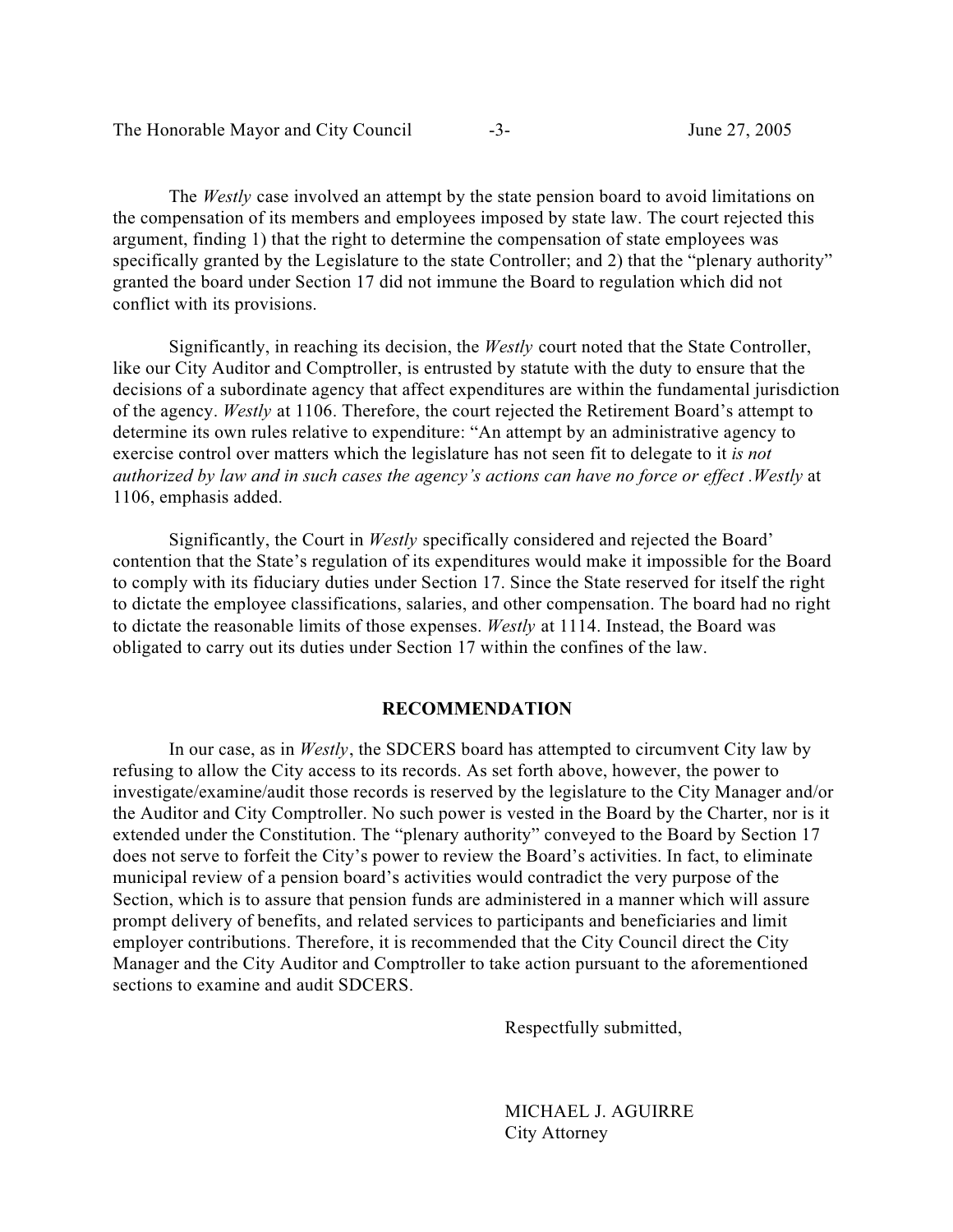| The Honorable Mayor and City Council | - 1- | June 27, 2005 |
|--------------------------------------|------|---------------|
|--------------------------------------|------|---------------|

The *Westly* case involved an attempt by the state pension board to avoid limitations on the compensation of its members and employees imposed by state law. The court rejected this argument, finding 1) that the right to determine the compensation of state employees was specifically granted by the Legislature to the state Controller; and 2) that the "plenary authority" granted the board under Section 17 did not immune the Board to regulation which did not conflict with its provisions.

Significantly, in reaching its decision, the *Westly* court noted that the State Controller, like our City Auditor and Comptroller, is entrusted by statute with the duty to ensure that the decisions of a subordinate agency that affect expenditures are within the fundamental jurisdiction of the agency. *Westly* at 1106. Therefore, the court rejected the Retirement Board's attempt to determine its own rules relative to expenditure: "An attempt by an administrative agency to exercise control over matters which the legislature has not seen fit to delegate to it *is not authorized by law and in such cases the agency's actions can have no force or effect .Westly* at 1106, emphasis added.

Significantly, the Court in *Westly* specifically considered and rejected the Board' contention that the State's regulation of its expenditures would make it impossible for the Board to comply with its fiduciary duties under Section 17. Since the State reserved for itself the right to dictate the employee classifications, salaries, and other compensation. The board had no right to dictate the reasonable limits of those expenses. *Westly* at 1114. Instead, the Board was obligated to carry out its duties under Section 17 within the confines of the law.

#### **RECOMMENDATION**

In our case, as in *Westly*, the SDCERS board has attempted to circumvent City law by refusing to allow the City access to its records. As set forth above, however, the power to investigate/examine/audit those records is reserved by the legislature to the City Manager and/or the Auditor and City Comptroller. No such power is vested in the Board by the Charter, nor is it extended under the Constitution. The "plenary authority" conveyed to the Board by Section 17 does not serve to forfeit the City's power to review the Board's activities. In fact, to eliminate municipal review of a pension board's activities would contradict the very purpose of the Section, which is to assure that pension funds are administered in a manner which will assure prompt delivery of benefits, and related services to participants and beneficiaries and limit employer contributions. Therefore, it is recommended that the City Council direct the City Manager and the City Auditor and Comptroller to take action pursuant to the aforementioned sections to examine and audit SDCERS.

Respectfully submitted,

MICHAEL J. AGUIRRE City Attorney